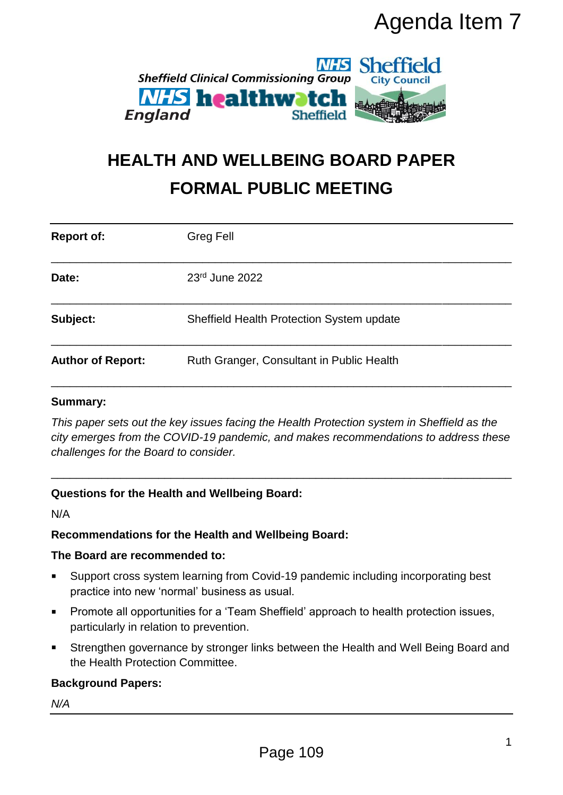

# **HEALTH AND WELLBEING BOARD PAPER FORMAL PUBLIC MEETING**

|                                                                                                                                                                                                                                                | Agenda Item 7                                                                                                                                                                     |
|------------------------------------------------------------------------------------------------------------------------------------------------------------------------------------------------------------------------------------------------|-----------------------------------------------------------------------------------------------------------------------------------------------------------------------------------|
| <b>NHS Sheffield</b><br><b>Sheffield Clinical Commissioning Group</b><br><b>City Council</b><br><b><i>NHS</i></b> healthwatch<br><b>England</b><br><b>Sheffield</b><br><b>HEALTH AND WELLBEING BOARD PAPER</b><br><b>FORMAL PUBLIC MEETING</b> |                                                                                                                                                                                   |
|                                                                                                                                                                                                                                                |                                                                                                                                                                                   |
| Date:                                                                                                                                                                                                                                          | 23rd June 2022                                                                                                                                                                    |
| Subject:                                                                                                                                                                                                                                       | Sheffield Health Protection System update                                                                                                                                         |
| <b>Author of Report:</b>                                                                                                                                                                                                                       | Ruth Granger, Consultant in Public Health                                                                                                                                         |
| <b>Summary:</b><br>challenges for the Board to consider.                                                                                                                                                                                       | This paper sets out the key issues facing the Health Protection system in Sheffield as the<br>city emerges from the COVID-19 pandemic, and makes recommendations to address these |
| N/A                                                                                                                                                                                                                                            | <b>Questions for the Health and Wellbeing Board:</b>                                                                                                                              |
|                                                                                                                                                                                                                                                | Recommendations for the Health and Wellbeing Board:                                                                                                                               |
| The Board are recommended to:                                                                                                                                                                                                                  |                                                                                                                                                                                   |
| Support cross system learning from Covid-19 pandemic including incorporating best<br>п<br>practice into new 'normal' business as usual.                                                                                                        |                                                                                                                                                                                   |
| ٠<br>particularly in relation to prevention.                                                                                                                                                                                                   | Promote all opportunities for a 'Team Sheffield' approach to health protection issues,                                                                                            |
| Strengthen governance by stronger links between the Health and Well Being Board and<br>٠<br>the Health Protection Committee.                                                                                                                   |                                                                                                                                                                                   |
| <b>Background Papers:</b>                                                                                                                                                                                                                      |                                                                                                                                                                                   |
| N/A                                                                                                                                                                                                                                            |                                                                                                                                                                                   |
|                                                                                                                                                                                                                                                | 1<br>Page 109                                                                                                                                                                     |

#### **Summary:**

#### **Recommendations for the Health and Wellbeing Board:**

#### **The Board are recommended to:**

- Support cross system learning from Covid-19 pandemic including incorporating best practice into new 'normal' business as usual.
- **Promote all opportunities for a 'Team Sheffield' approach to health protection issues,** particularly in relation to prevention.
- Strengthen governance by stronger links between the Health and Well Being Board and the Health Protection Committee.

#### **Background Papers:**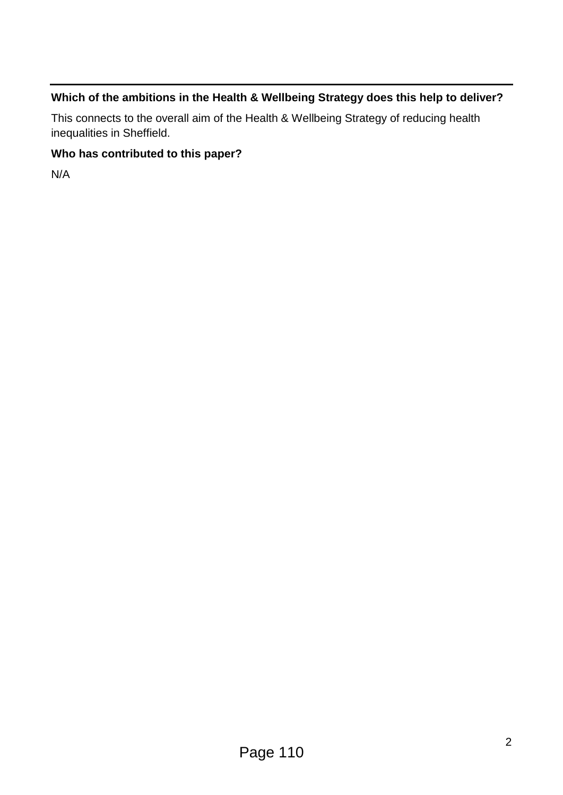#### **Which of the ambitions in the Health & Wellbeing Strategy does this help to deliver?**

This connects to the overall aim of the Health & Wellbeing Strategy of reducing health inequalities in Sheffield.

#### **Who has contributed to this paper?**

N/A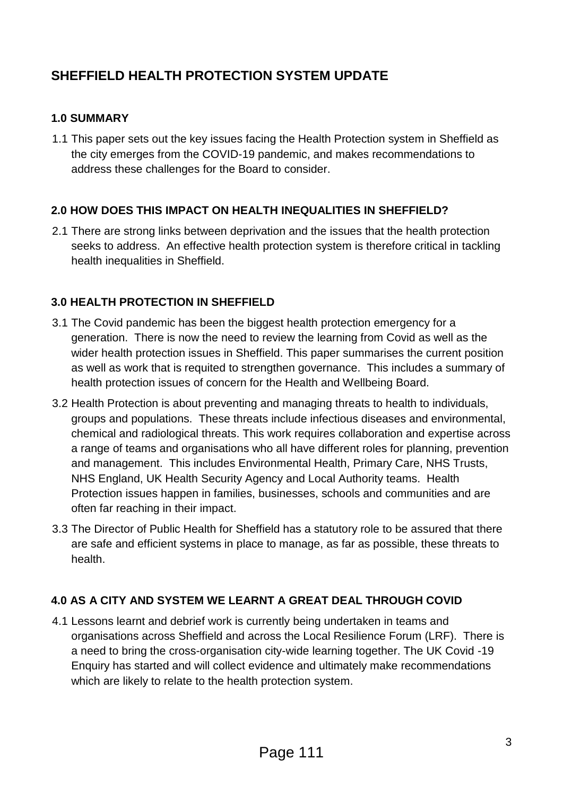## **SHEFFIELD HEALTH PROTECTION SYSTEM UPDATE**

#### **1.0 SUMMARY**

1.1 This paper sets out the key issues facing the Health Protection system in Sheffield as the city emerges from the COVID-19 pandemic, and makes recommendations to address these challenges for the Board to consider.

#### **2.0 HOW DOES THIS IMPACT ON HEALTH INEQUALITIES IN SHEFFIELD?**

2.1 There are strong links between deprivation and the issues that the health protection seeks to address. An effective health protection system is therefore critical in tackling health inequalities in Sheffield.

#### **3.0 HEALTH PROTECTION IN SHEFFIELD**

- 3.1 The Covid pandemic has been the biggest health protection emergency for a generation. There is now the need to review the learning from Covid as well as the wider health protection issues in Sheffield. This paper summarises the current position as well as work that is requited to strengthen governance. This includes a summary of health protection issues of concern for the Health and Wellbeing Board.
- 3.2 Health Protection is about preventing and managing threats to health to individuals, groups and populations. These threats include infectious diseases and environmental, chemical and radiological threats. This work requires collaboration and expertise across a range of teams and organisations who all have different roles for planning, prevention and management. This includes Environmental Health, Primary Care, NHS Trusts, NHS England, UK Health Security Agency and Local Authority teams. Health Protection issues happen in families, businesses, schools and communities and are often far reaching in their impact.
- 3.3 The Director of Public Health for Sheffield has a statutory role to be assured that there are safe and efficient systems in place to manage, as far as possible, these threats to health.

#### **4.0 AS A CITY AND SYSTEM WE LEARNT A GREAT DEAL THROUGH COVID**

4.1 Lessons learnt and debrief work is currently being undertaken in teams and organisations across Sheffield and across the Local Resilience Forum (LRF). There is a need to bring the cross-organisation city-wide learning together. The UK Covid -19 Enquiry has started and will collect evidence and ultimately make recommendations which are likely to relate to the health protection system.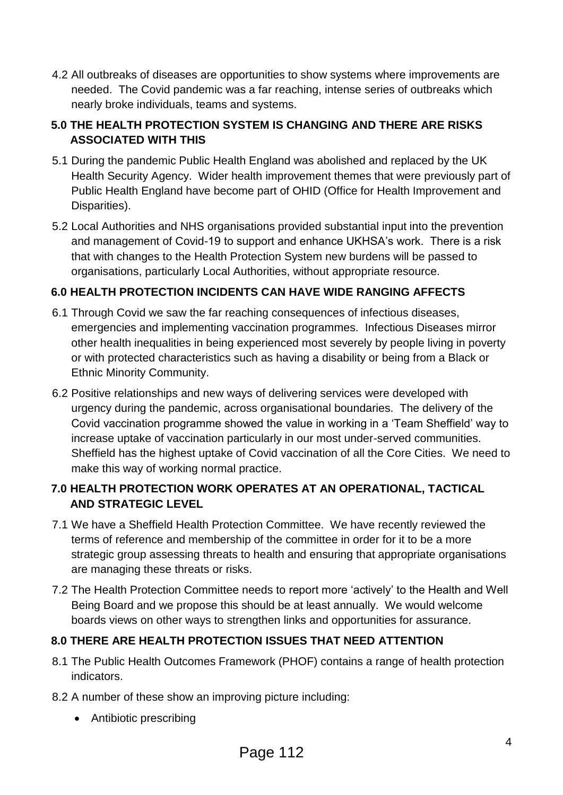4.2 All outbreaks of diseases are opportunities to show systems where improvements are needed. The Covid pandemic was a far reaching, intense series of outbreaks which nearly broke individuals, teams and systems.

#### **5.0 THE HEALTH PROTECTION SYSTEM IS CHANGING AND THERE ARE RISKS ASSOCIATED WITH THIS**

- 5.1 During the pandemic Public Health England was abolished and replaced by the UK Health Security Agency. Wider health improvement themes that were previously part of Public Health England have become part of OHID (Office for Health Improvement and Disparities).
- 5.2 Local Authorities and NHS organisations provided substantial input into the prevention and management of Covid-19 to support and enhance UKHSA's work. There is a risk that with changes to the Health Protection System new burdens will be passed to organisations, particularly Local Authorities, without appropriate resource.

### **6.0 HEALTH PROTECTION INCIDENTS CAN HAVE WIDE RANGING AFFECTS**

- 6.1 Through Covid we saw the far reaching consequences of infectious diseases, emergencies and implementing vaccination programmes. Infectious Diseases mirror other health inequalities in being experienced most severely by people living in poverty or with protected characteristics such as having a disability or being from a Black or Ethnic Minority Community.
- 6.2 Positive relationships and new ways of delivering services were developed with urgency during the pandemic, across organisational boundaries. The delivery of the Covid vaccination programme showed the value in working in a 'Team Sheffield' way to increase uptake of vaccination particularly in our most under-served communities. Sheffield has the highest uptake of Covid vaccination of all the Core Cities. We need to make this way of working normal practice.

#### **7.0 HEALTH PROTECTION WORK OPERATES AT AN OPERATIONAL, TACTICAL AND STRATEGIC LEVEL**

- 7.1 We have a Sheffield Health Protection Committee. We have recently reviewed the terms of reference and membership of the committee in order for it to be a more strategic group assessing threats to health and ensuring that appropriate organisations are managing these threats or risks.
- 7.2 The Health Protection Committee needs to report more 'actively' to the Health and Well Being Board and we propose this should be at least annually. We would welcome boards views on other ways to strengthen links and opportunities for assurance.

### **8.0 THERE ARE HEALTH PROTECTION ISSUES THAT NEED ATTENTION**

- 8.1 The Public Health Outcomes Framework (PHOF) contains a range of health protection indicators.
- 8.2 A number of these show an improving picture including:
	- Antibiotic prescribing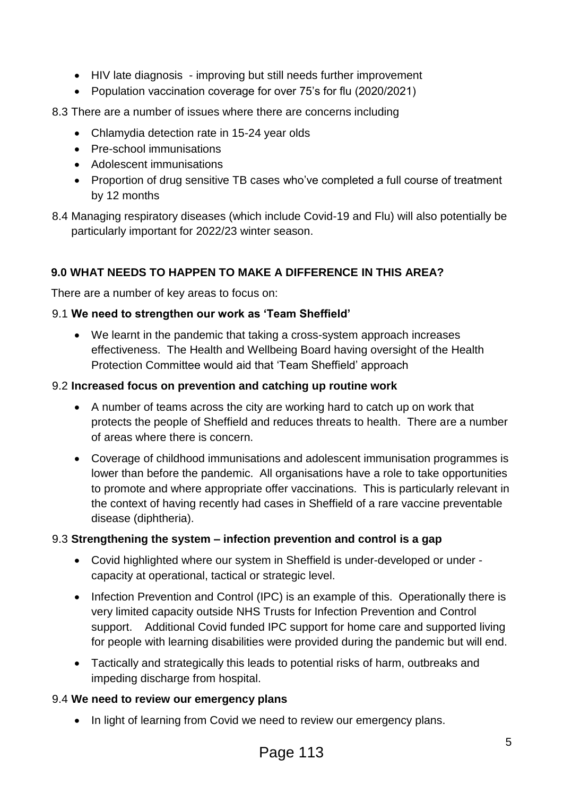- HIV late diagnosis improving but still needs further improvement
- Population vaccination coverage for over 75's for flu (2020/2021)
- 8.3 There are a number of issues where there are concerns including
	- Chlamydia detection rate in 15-24 year olds
	- Pre-school immunisations
	- Adolescent immunisations
	- Proportion of drug sensitive TB cases who've completed a full course of treatment by 12 months
- 8.4 Managing respiratory diseases (which include Covid-19 and Flu) will also potentially be particularly important for 2022/23 winter season.

#### **9.0 WHAT NEEDS TO HAPPEN TO MAKE A DIFFERENCE IN THIS AREA?**

There are a number of key areas to focus on:

#### 9.1 **We need to strengthen our work as 'Team Sheffield'**

 We learnt in the pandemic that taking a cross-system approach increases effectiveness. The Health and Wellbeing Board having oversight of the Health Protection Committee would aid that 'Team Sheffield' approach

#### 9.2 **Increased focus on prevention and catching up routine work**

- A number of teams across the city are working hard to catch up on work that protects the people of Sheffield and reduces threats to health. There are a number of areas where there is concern.
- Coverage of childhood immunisations and adolescent immunisation programmes is lower than before the pandemic. All organisations have a role to take opportunities to promote and where appropriate offer vaccinations. This is particularly relevant in the context of having recently had cases in Sheffield of a rare vaccine preventable disease (diphtheria).

#### 9.3 **Strengthening the system – infection prevention and control is a gap**

- Covid highlighted where our system in Sheffield is under-developed or under capacity at operational, tactical or strategic level.
- Infection Prevention and Control (IPC) is an example of this. Operationally there is very limited capacity outside NHS Trusts for Infection Prevention and Control support. Additional Covid funded IPC support for home care and supported living for people with learning disabilities were provided during the pandemic but will end.
- Tactically and strategically this leads to potential risks of harm, outbreaks and impeding discharge from hospital.

#### 9.4 **We need to review our emergency plans**

• In light of learning from Covid we need to review our emergency plans.